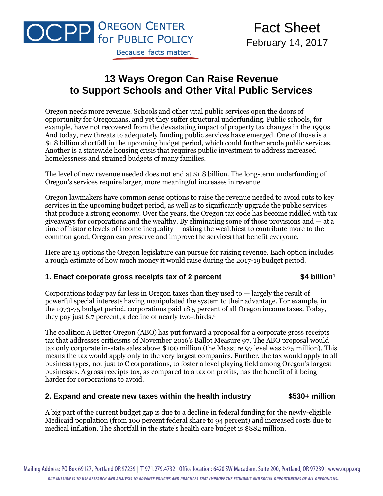

## **13 Ways Oregon Can Raise Revenue to Support Schools and Other Vital Public Services**

Oregon needs more revenue. Schools and other vital public services open the doors of opportunity for Oregonians, and yet they suffer structural underfunding. Public schools, for example, have not recovered from the devastating impact of property tax changes in the 1990s. And today, new threats to adequately funding public services have emerged. One of those is a \$1.8 billion shortfall in the upcoming budget period, which could further erode public services. Another is a statewide housing crisis that requires public investment to address increased homelessness and strained budgets of many families.

The level of new revenue needed does not end at \$1.8 billion. The long-term underfunding of Oregon's services require larger, more meaningful increases in revenue.

Oregon lawmakers have common sense options to raise the revenue needed to avoid cuts to key services in the upcoming budget period, as well as to significantly upgrade the public services that produce a strong economy. Over the years, the Oregon tax code has become riddled with tax giveaways for corporations and the wealthy. By eliminating some of those provisions and — at a time of historic levels of income inequality — asking the wealthiest to contribute more to the common good, Oregon can preserve and improve the services that benefit everyone.

Here are 13 options the Oregon legislature can pursue for raising revenue. Each option includes a rough estimate of how much money it would raise during the 2017-19 budget period.

#### **1. Enact corporate gross receipts tax of 2 percent \$4 billion**<sup>1</sup>

Corporations today pay far less in Oregon taxes than they used to  $-$  largely the result of powerful special interests having manipulated the system to their advantage. For example, in the 1973-75 budget period, corporations paid 18.5 percent of all Oregon income taxes. Today, they pay just 6.7 percent, a decline of nearly two-thirds.<sup>2</sup>

The coalition A Better Oregon (ABO) has put forward a proposal for a corporate gross receipts tax that addresses criticisms of November 2016's Ballot Measure 97. The ABO proposal would tax only corporate in-state sales above \$100 million (the Measure 97 level was \$25 million). This means the tax would apply only to the very largest companies. Further, the tax would apply to all business types, not just to C corporations, to foster a level playing field among Oregon's largest businesses. A gross receipts tax, as compared to a tax on profits, has the benefit of it being harder for corporations to avoid.

#### **2. Expand and create new taxes within the health industry \$530+ million**

A big part of the current budget gap is due to a decline in federal funding for the newly-eligible Medicaid population (from 100 percent federal share to 94 percent) and increased costs due to medical inflation. The shortfall in the state's health care budget is \$882 million.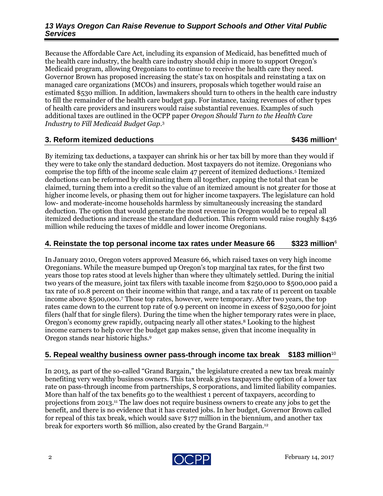#### *13 Ways Oregon Can Raise Revenue to Support Schools and Other Vital Public Services*

Because the Affordable Care Act, including its expansion of Medicaid, has benefitted much of the health care industry, the health care industry should chip in more to support Oregon's Medicaid program, allowing Oregonians to continue to receive the health care they need. Governor Brown has proposed increasing the state's tax on hospitals and reinstating a tax on managed care organizations (MCOs) and insurers, proposals which together would raise an estimated \$530 million. In addition, lawmakers should turn to others in the health care industry to fill the remainder of the health care budget gap. For instance, taxing revenues of other types of health care providers and insurers would raise substantial revenues. Examples of such additional taxes are outlined in the OCPP paper *Oregon Should Turn to the Health Care Industry to Fill Medicaid Budget Gap*. 3

### **3. Reform itemized deductions \$436 million**<sup>4</sup>

By itemizing tax deductions, a taxpayer can shrink his or her tax bill by more than they would if they were to take only the standard deduction. Most taxpayers do not itemize. Oregonians who comprise the top fifth of the income scale claim 47 percent of itemized deductions.<sup>5</sup> Itemized deductions can be reformed by eliminating them all together, capping the total that can be claimed, turning them into a credit so the value of an itemized amount is not greater for those at higher income levels, or phasing them out for higher income taxpayers. The legislature can hold low- and moderate-income households harmless by simultaneously increasing the standard deduction. The option that would generate the most revenue in Oregon would be to repeal all itemized deductions and increase the standard deduction. This reform would raise roughly \$436 million while reducing the taxes of middle and lower income Oregonians.

### **4. Reinstate the top personal income tax rates under Measure 66 \$323 million**<sup>6</sup>

In January 2010, Oregon voters approved Measure 66, which raised taxes on very high income Oregonians. While the measure bumped up Oregon's top marginal tax rates, for the first two years those top rates stood at levels higher than where they ultimately settled. During the initial two years of the measure, joint tax filers with taxable income from \$250,000 to \$500,000 paid a tax rate of 10.8 percent on their income within that range, and a tax rate of 11 percent on taxable income above \$500,000.<sup>7</sup> Those top rates, however, were temporary. After two years, the top rates came down to the current top rate of 9.9 percent on income in excess of \$250,000 for joint filers (half that for single filers). During the time when the higher temporary rates were in place, Oregon's economy grew rapidly, outpacing nearly all other states.<sup>8</sup> Looking to the highest income earners to help cover the budget gap makes sense, given that income inequality in Oregon stands near historic highs.<sup>9</sup>

### **5. Repeal wealthy business owner pass-through income tax break \$183 million**<sup>10</sup>

In 2013, as part of the so-called "Grand Bargain," the legislature created a new tax break mainly benefiting very wealthy business owners. This tax break gives taxpayers the option of a lower tax rate on pass-through income from partnerships, S corporations, and limited liability companies. More than half of the tax benefits go to the wealthiest 1 percent of taxpayers, according to projections from 2013.<sup>11</sup> The law does not require business owners to create any jobs to get the benefit, and there is no evidence that it has created jobs. In her budget, Governor Brown called for repeal of this tax break, which would save \$177 million in the biennium, and another tax break for exporters worth \$6 million, also created by the Grand Bargain.12

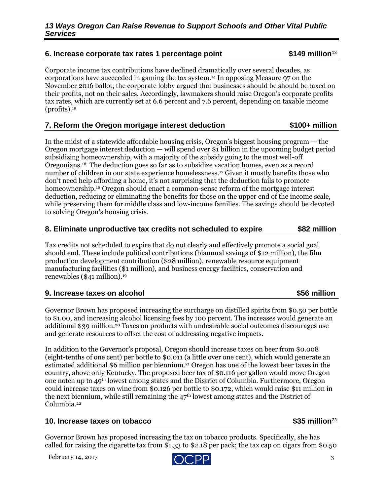# called for raising the cigarette tax from \$1.33 to \$2.18 per pack; the tax cap on cigars from \$0.50

## February 14, 2017  $\bigcap \bigcap D$  3

#### Corporate income tax contributions have declined dramatically over several decades, as corporations have succeeded in gaming the tax system.<sup>14</sup> In opposing Measure 97 on the November 2016 ballot, the corporate lobby argued that businesses should be should be taxed on their profits, not on their sales. Accordingly, lawmakers should raise Oregon's corporate profits tax rates, which are currently set at 6.6 percent and 7.6 percent, depending on taxable income  $(*profiles*)<sub>15</sub>$

## **7. Reform the Oregon mortgage interest deduction \$100+ million**

In the midst of a statewide affordable housing crisis, Oregon's biggest housing program — the Oregon mortgage interest deduction — will spend over \$1 billion in the upcoming budget period subsidizing homeownership, with a majority of the subsidy going to the most well-off Oregonians.<sup>16</sup> The deduction goes so far as to subsidize vacation homes, even as a record number of children in our state experience homelessness.<sup>17</sup> Given it mostly benefits those who don't need help affording a home, it's not surprising that the deduction fails to promote homeownership.<sup>18</sup> Oregon should enact a common-sense reform of the mortgage interest deduction, reducing or eliminating the benefits for those on the upper end of the income scale, while preserving them for middle class and low-income families. The savings should be devoted to solving Oregon's housing crisis.

### **8. Eliminate unproductive tax credits not scheduled to expire \$82 million**

Tax credits not scheduled to expire that do not clearly and effectively promote a social goal should end. These include political contributions (biannual savings of \$12 million), the film production development contribution (\$28 million), renewable resource equipment manufacturing facilities (\$1 million), and business energy facilities, conservation and renewables (\$41 million).<sup>19</sup>

#### **9. Increase taxes on alcohol \$56 million**

Governor Brown has proposed increasing the surcharge on distilled spirits from \$0.50 per bottle to \$1.00, and increasing alcohol licensing fees by 100 percent. The increases would generate an additional \$39 million.<sup>20</sup> Taxes on products with undesirable social outcomes discourages use and generate resources to offset the cost of addressing negative impacts.

In addition to the Governor's proposal, Oregon should increase taxes on beer from \$0.008 (eight-tenths of one cent) per bottle to \$0.011 (a little over one cent), which would generate an estimated additional \$6 million per biennium.<sup>21</sup> Oregon has one of the lowest beer taxes in the country, above only Kentucky. The proposed beer tax of \$0.116 per gallon would move Oregon one notch up to 49th lowest among states and the District of Columbia. Furthermore, Oregon could increase taxes on wine from \$0.126 per bottle to \$0.172, which would raise \$11 million in the next biennium, while still remaining the  $47<sup>th</sup>$  lowest among states and the District of Columbia.<sup>22</sup>

### **10. Increase taxes on tobacco 6. Increase taxes on tobacco \$35 million**<sup>23</sup>

Governor Brown has proposed increasing the tax on tobacco products. Specifically, she has

#### **6. Increase corporate tax rates 1 percentage point \$149 million**<sup>13</sup>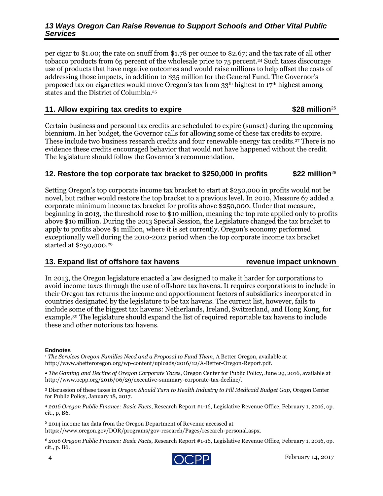#### *13 Ways Oregon Can Raise Revenue to Support Schools and Other Vital Public Services*

per cigar to \$1.00; the rate on snuff from \$1.78 per ounce to \$2.67; and the tax rate of all other tobacco products from 65 percent of the wholesale price to 75 percent.<sup>24</sup> Such taxes discourage use of products that have negative outcomes and would raise millions to help offset the costs of addressing those impacts, in addition to \$35 million for the General Fund. The Governor's proposed tax on cigarettes would move Oregon's tax from 33th highest to 17th highest among states and the District of Columbia.<sup>25</sup>

#### **11. Allow expiring tax credits to expire \$28 million**<sup>26</sup>

Certain business and personal tax credits are scheduled to expire (sunset) during the upcoming biennium. In her budget, the Governor calls for allowing some of these tax credits to expire. These include two business research credits and four renewable energy tax credits.<sup>27</sup> There is no evidence these credits encouraged behavior that would not have happened without the credit. The legislature should follow the Governor's recommendation.

#### **12. Restore the top corporate tax bracket to \$250,000 in profits** \$22 million $^{28}$

Setting Oregon's top corporate income tax bracket to start at \$250,000 in profits would not be novel, but rather would restore the top bracket to a previous level. In 2010, Measure 67 added a corporate minimum income tax bracket for profits above \$250,000. Under that measure, beginning in 2013, the threshold rose to \$10 million, meaning the top rate applied only to profits above \$10 million. During the 2013 Special Session, the Legislature changed the tax bracket to apply to profits above \$1 million, where it is set currently. Oregon's economy performed exceptionally well during the 2010-2012 period when the top corporate income tax bracket started at \$250,000.<sup>29</sup>

#### **13. Expand list of offshore tax havens revenue impact unknown**

In 2013, the Oregon legislature enacted a law designed to make it harder for corporations to avoid income taxes through the use of offshore tax havens. It requires corporations to include in their Oregon tax returns the income and apportionment factors of subsidiaries incorporated in countries designated by the legislature to be tax havens. The current list, however, fails to include some of the biggest tax havens: Netherlands, Ireland, Switzerland, and Hong Kong, for example.<sup>30</sup> The legislature should expand the list of required reportable tax havens to include these and other notorious tax havens.

#### **Endnotes**

<sup>1</sup> *The Services Oregon Families Need and a Proposal to Fund Them*, A Better Oregon, available at http://www.abetteroregon.org/wp-content/uploads/2016/12/A-Better-Oregon-Report.pdf.

<sup>2</sup> *The Gaming and Decline of Oregon Corporate Taxes*, Oregon Center for Public Policy, June 29, 2016, available at http://www.ocpp.org/2016/06/29/executive-summary-corporate-tax-decline/.

<sup>3</sup> Discussion of these taxes in *Oregon Should Turn to Health Industry to Fill Medicaid Budget Gap*, Oregon Center for Public Policy, January 18, 2017.

<sup>4</sup> *2016 Oregon Public Finance: Basic Facts*, Research Report #1-16, Legislative Revenue Office, February 1, 2016, op. cit., p, B6.

<sup>5</sup> 2014 income tax data from the Oregon Department of Revenue accessed at https://www.oregon.gov/DOR/programs/gov-research/Pages/research-personal.aspx.

<sup>6</sup> *2016 Oregon Public Finance: Basic Facts*, Research Report #1-16, Legislative Revenue Office, February 1, 2016, op. cit., p. B6.

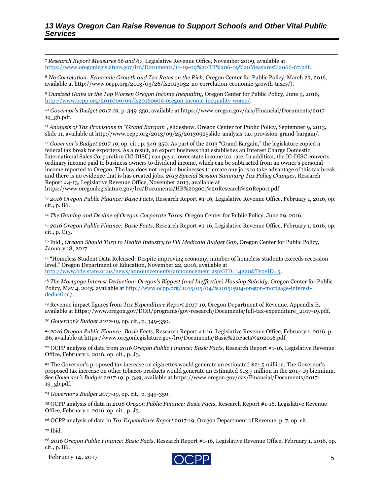$\overline{\phantom{a}}$ <sup>7</sup> *Research Report Measures 66 and 67*, Legislative Revenue Office, November 2009, available at [https://www.oregonlegislature.gov/lro/Documents/11-19-09%20RR%206-09%20Measures%2066-67.pdf.](https://www.oregonlegislature.gov/lro/Documents/11-19-09%20RR%206-09%20Measures%2066-67.pdf)

<sup>8</sup> *No Correlation: Economic Growth and Tax Rates on the Rich*, Oregon Center for Public Policy, March 23, 2016, available at http://www.ocpp.org/2013/03/26/fs2013032-no-correlation-economic-growth-taxes/).

<sup>9</sup> *Outsized Gains at the Top Worsen Oregon Income Inequality*, Oregon Center for Public Policy, June 9, 2016, [http://www.ocpp.org/2016/06/09/fs20160609-oregon-income-inequality-worse/.](http://www.ocpp.org/2016/06/09/fs20160609-oregon-income-inequality-worse/)

<sup>10</sup> *Governor's Budget 2017-19*, p. 349-350, available at https://www.oregon.gov/das/Financial/Documents/2017- 19\_gb.pdf.

<sup>11</sup> *Analysis of Tax Provisions in "Grand Bargain",* slideshow, Oregon Center for Public Policy, September 9, 2013, slide 11, available at http://www.ocpp.org/2013/09/25/20130925slide-analysis-tax-provision-grand-bargain/.

<sup>12</sup> *Governor's Budget 2017-19*, op. cit., p. 349-350. As part of the 2013 "Grand Bargain," the legislature copied a federal tax break for exporters. As a result, an export business that establishes an Interest Charge Domestic International Sales Corporation (IC-DISC) can pay a lower state income tax rate. In addition, the IC-DISC converts ordinary income paid to business owners to dividend income, which can be subtracted from an owner's personal income reported to Oregon. The law does not require businesses to create any jobs to take advantage of this tax break, and there is no evidence that is has created jobs. *2013 Special Session Summary Tax Policy Changes*, Research Report #4-13, Legislative Revenue Office, November 2013, available at

https://www.oregonlegislature.gov/lro/Documents/HB%203601%20Research%20Report.pdf

<sup>13</sup> *2016 Oregon Public Finance: Basic Facts*, Research Report #1-16, Legislative Revenue Office, February 1, 2016, op. cit., p. B6.

<sup>14</sup> *The Gaming and Decline of Oregon Corporate Taxes*, Oregon Center for Public Policy, June 29, 2016.

<sup>15</sup> *2016 Oregon Public Finance: Basic Facts*, Research Report #1-16, Legislative Revenue Office, February 1, 2016, op. cit., p. C13.

<sup>16</sup> Ibid., *Oregon Should Turn to Health Industry to Fill Medicaid Budget Gap*, Oregon Center for Public Policy, January 18, 2017.

<sup>17</sup> "Homeless Student Data Released: Despite improving economy, number of homeless students exceeds recession level," Oregon Department of Education, November 22, 2016, available at [http://www.ode.state.or.us/news/announcements/announcement.aspx?ID=14220&TypeID=5.](http://www.ode.state.or.us/news/announcements/announcement.aspx?ID=14220&TypeID=5)

<sup>18</sup> *The Mortgage Interest Deduction: Oregon's Biggest (and Ineffective) Housing Subsidy*, Oregon Center for Public Policy, May 4, 2015, available at [http://www.ocpp.org/2015/05/04/fs20150504-oregon-mortgage-interest](http://www.ocpp.org/2015/05/04/fs20150504-oregon-mortgage-interest-deduction/)[deduction/.](http://www.ocpp.org/2015/05/04/fs20150504-oregon-mortgage-interest-deduction/)

<sup>19</sup> Revenue impact figures from *Tax Expenditure Report 2017-19*, Oregon Department of Revenue, Appendix E, available at https://www.oregon.gov/DOR/programs/gov-research/Documents/full-tax-expenditure\_2017-19.pdf.

<sup>20</sup> *Governor's Budget 2017-19*, op. cit., p. 349-350.

<sup>21</sup> *2016 Oregon Public Finance: Basic Facts*, Research Report #1-16, Legislative Revenue Office, February 1, 2016, p, B6, available at https://www.oregonlegislature.gov/lro/Documents/Basic%20Facts%202016.pdf.

<sup>22</sup> OCPP analysis of data from *2016 Oregon Public Finance: Basic Facts*, Research Report #1-16, Legislative Revenue Office, February 1, 2016, op. cit., p. J3.

<sup>23</sup> The Governor's proposed tax increase on cigarettes would generate an estimated \$21.5 million. The Governor's proposed tax increase on other tobacco products would generate an estimated \$13.7 million in the 2017-19 biennium. See *Governor's Budget 2017-19,* p. 349, available at https://www.oregon.gov/das/Financial/Documents/2017- 19\_gb.pdf.

<sup>24</sup> *Governor's Budget 2017-19*, op. cit., p. 349-350.

<sup>25</sup> OCPP analysis of data in *2016 Oregon Public Finance: Basic Facts*, Research Report #1-16, Legislative Revenue Office, February 1, 2016, op. cit., p. J3.

<sup>26</sup> OCPP analysis of data in *Tax Expenditure Report* 2017-19, Oregon Department of Revenue, p. 7, op. cit.

<sup>27</sup> Ibid.

<sup>28</sup> *2016 Oregon Public Finance: Basic Facts*, Research Report #1-16, Legislative Revenue Office, February 1, 2016, op. cit., p. B6.

February 14, 2017  $\bigcirc$  DD